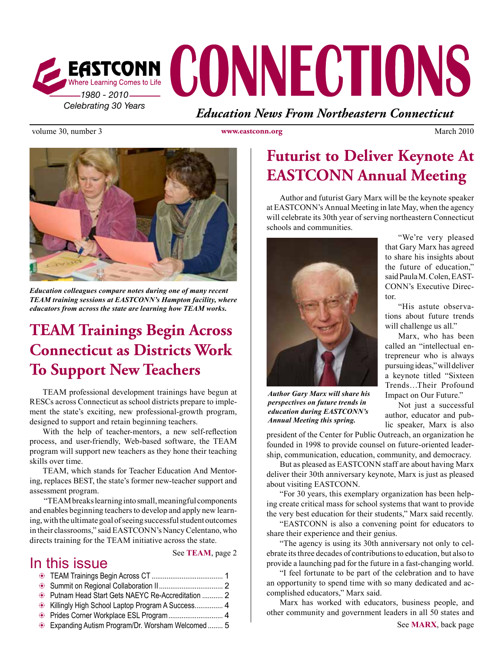

volume 30, number 3 **www.eastconn.org** March 2010



*Education colleagues compare notes during one of many recent TEAM training sessions at EASTCONN's Hampton facility, where educators from across the state are learning how TEAM works.* 

# **TEAM Trainings Begin Across Connecticut as Districts Work To Support New Teachers**

TEAM professional development trainings have begun at RESCs across Connecticut as school districts prepare to implement the state's exciting, new professional-growth program, designed to support and retain beginning teachers.

With the help of teacher-mentors, a new self-refection process, and user-friendly, Web-based software, the TEAM program will support new teachers as they hone their teaching skills over time.

TEAM, which stands for Teacher Education And Mentoring, replaces BEST, the state's former new-teacher support and assessment program.

 "TEAM breaks learning into small, meaningful components and enables beginning teachers to develop and apply new learning, with the ultimate goal of seeing successful student outcomes in their classrooms," said EASTCONN's Nancy Celentano, who directs training for the TEAM initiative across the state.

### In this issue

See **TEAM**, page 2

| Putnam Head Start Gets NAEYC Re-Accreditation  2 |  |
|--------------------------------------------------|--|
|                                                  |  |
| Prides Corner Workplace ESL Program 4            |  |
| Expanding Autism Program/Dr. Worsham Welcomed 5  |  |

# **Futurist to Deliver Keynote At EASTCONN Annual Meeting**

Author and futurist Gary Marx will be the keynote speaker at EASTCONN's Annual Meeting in late May, when the agency will celebrate its 30th year of serving northeastern Connecticut schools and communities.



*Author Gary Marx will share his perspectives on future trends in education during EASTCONN's Annual Meeting this spring.*

president of the Center for Public Outreach, an organization he founded in 1998 to provide counsel on future-oriented leadership, communication, education, community, and democracy.

But as pleased as EASTCONN staff are about having Marx deliver their 30th anniversary keynote, Marx is just as pleased about visiting EASTCONN.

"For 30 years, this exemplary organization has been helping create critical mass for school systems that want to provide the very best education for their students," Marx said recently.

"EASTCONN is also a convening point for educators to share their experience and their genius.

"The agency is using its 30th anniversary not only to celebrate its three decades of contributions to education, but also to provide a launching pad for the future in a fast-changing world.

"I feel fortunate to be part of the celebration and to have an opportunity to spend time with so many dedicated and accomplished educators," Marx said.

Marx has worked with educators, business people, and other community and government leaders in all 50 states and

"We're very pleased that Gary Marx has agreed to share his insights about the future of education," said Paula M. Colen, EAST-CONN's Executive Director.

"His astute observations about future trends will challenge us all."

Marx, who has been called an "intellectual entrepreneur who is always pursuing ideas," will deliver a keynote titled "Sixteen Trends…Their Profound Impact on Our Future."

Not just a successful author, educator and public speaker, Marx is also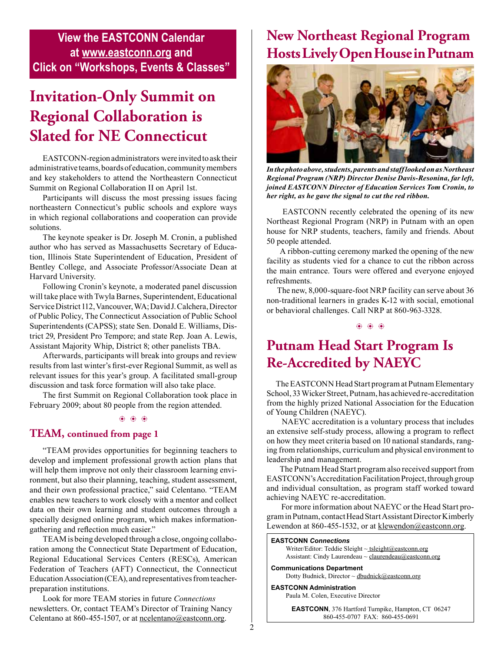### **View the EASTCONN Calendar at www.eastconn.org and Click on "Workshops, Events & Classes"**

# **Invitation-Only Summit on Regional Collaboration is Slated for NE Connecticut**

EASTCONN-region administrators were invited to ask their administrative teams, boards of education, community members and key stakeholders to attend the Northeastern Connecticut Summit on Regional Collaboration II on April 1st.

Participants will discuss the most pressing issues facing northeastern Connecticut's public schools and explore ways in which regional collaborations and cooperation can provide solutions.

The keynote speaker is Dr. Joseph M. Cronin, a published author who has served as Massachusetts Secretary of Education, Illinois State Superintendent of Education, President of Bentley College, and Associate Professor/Associate Dean at Harvard University.

Following Cronin's keynote, a moderated panel discussion will take place with Twyla Barnes, Superintendent, Educational Service District 112, Vancouver, WA; David J. Calchera, Director of Public Policy, The Connecticut Association of Public School Superintendents (CAPSS); state Sen. Donald E. Williams, District 29, President Pro Tempore; and state Rep. Joan A. Lewis, Assistant Majority Whip, District 8; other panelists TBA.

Afterwards, participants will break into groups and review results from last winter's frst-ever Regional Summit, as well as relevant issues for this year's group. A facilitated small-group discussion and task force formation will also take place.

The frst Summit on Regional Collaboration took place in February 2009; about 80 people from the region attended.

b b b

#### **TEAM, continued from page 1**

"TEAM provides opportunities for beginning teachers to develop and implement professional growth action plans that will help them improve not only their classroom learning environment, but also their planning, teaching, student assessment, and their own professional practice," said Celentano. "TEAM enables new teachers to work closely with a mentor and collect data on their own learning and student outcomes through a specially designed online program, which makes informationgathering and refection much easier."

TEAM is being developed through a close, ongoing collaboration among the Connecticut State Department of Education, Regional Educational Services Centers (RESCs), American Federation of Teachers (AFT) Connecticut, the Connecticut Education Association (CEA), and representatives from teacherpreparation institutions.

Look for more TEAM stories in future *Connections* newsletters. Or, contact TEAM's Director of Training Nancy Celentano at 860-455-1507, or at [ncelentano@eastconn.org.](mailto:ncelentano@eastconn.org)

### **New Northeast Regional Program Hosts Lively Open House in Putnam**



*In the photo above, students, parents and staff looked on as Northeast Regional Program (NRP) Director Denise Davis-Resonina, far left, joined EASTCONN Director of Education Services Tom Cronin, to her right, as he gave the signal to cut the red ribbon.* 

EASTCONN recently celebrated the opening of its new Northeast Regional Program (NRP) in Putnam with an open house for NRP students, teachers, family and friends. About 50 people attended.

 A ribbon-cutting ceremony marked the opening of the new facility as students vied for a chance to cut the ribbon across the main entrance. Tours were offered and everyone enjoyed refreshments.

 The new, 8,000-square-foot NRP facility can serve about 36 non-traditional learners in grades K-12 with social, emotional or behavioral challenges. Call NRP at 860-963-3328.

 $6666$ 

### **Putnam Head Start Program Is Re-Accredited by NAEYC**

 The EASTCONN Head Start program at Putnam Elementary School, 33 Wicker Street, Putnam, has achieved re-accreditation from the highly prized National Association for the Education of Young Children (NAEYC).

 NAEYC accreditation is a voluntary process that includes an extensive self-study process, allowing a program to refect on how they meet criteria based on 10 national standards, ranging from relationships, curriculum and physical environment to leadership and management.

The Putnam Head Start program also received support from EASTCONN's Accreditation Facilitation Project, through group and individual consultation, as program staff worked toward achieving NAEYC re-accreditation.

 For more information about NAEYC or the Head Start program in Putnam, contact Head Start Assistant Director Kimberly Lewendon at 860-455-1532, or at [klewendon@eastconn.org](mailto:klewendon@eastconn.org).

#### **EASTCONN** *Connections*

Writer/Editor: Teddie Sleight ~ tsleigh[t@eastconn.org](mailto:tsleight@eastconn.org) Assistant: Cindy Laurendeau ~ [claurendeau@eastconn.org](mailto:claurendeau@eastconn.org)

**[Communications Department](%20mailto:connections@eastconn.org)** [Dotty Budnick,](mailto:dbudnick@eastconn.org) Director ~ dbudnick@eastconn.org

**EASTCONN Administration**

Paula M. Colen, Executive Director

**EASTCONN**, 376 Hartford Turnpike, Hampton, CT 06247 860-455-0707 FAX: 860-455-0691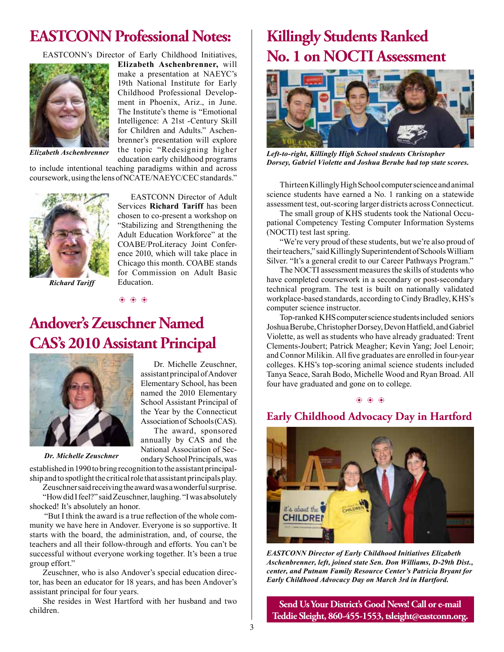### **EASTCONN Professional Notes:**

EASTCONN's Director of Early Childhood Initiatives,



**Elizabeth Aschenbrenner,** will make a presentation at NAEYC's 19th National Institute for Early Childhood Professional Development in Phoenix, Ariz., in June. The Institute's theme is "Emotional Intelligence: A 21st -Century Skill for Children and Adults." Aschenbrenner's presentation will explore the topic "Redesigning higher education early childhood programs

*Elizabeth Aschenbrenner*

to include intentional teaching paradigms within and across coursework, using the lens of NCATE/NAEYC/CEC standards."



*Richard Tariff*

EASTCONN Director of Adult Services **Richard Tariff** has been chosen to co-present a workshop on "Stabilizing and Strengthening the Adult Education Workforce" at the COABE/ProLiteracy Joint Conference 2010, which will take place in Chicago this month. COABE stands for Commission on Adult Basic Education.

b b b

### **Andover's Zeuschner Named CAS's 2010 Assistant Principal**



Dr. Michelle Zeuschner, assistant principal of Andover Elementary School, has been named the 2010 Elementary School Assistant Principal of the Year by the Connecticut Association of Schools (CAS). The award, sponsored

annually by CAS and the National Association of Sec-

*Dr. Michelle Zeuschner*

ondary School Principals, was established in 1990 to bring recognition to the assistant principalship and to spotlight the critical role that assistant principals play.

Zeuschner said receiving the award was a wonderful surprise. "How did I feel?" said Zeuschner, laughing. "I was absolutely shocked! It's absolutely an honor.

 "But I think the award is a true refection of the whole community we have here in Andover. Everyone is so supportive. It starts with the board, the administration, and, of course, the teachers and all their follow-through and efforts. You can't be successful without everyone working together. It's been a true group effort."

Zeuschner, who is also Andover's special education director, has been an educator for 18 years, and has been Andover's assistant principal for four years.

She resides in West Hartford with her husband and two children.

# **Killingly Students Ranked No. 1 on NOCTI Assessment**



*Left-to-right, Killingly High School students Christopher Dorsey, Gabriel Violette and Joshua Berube had top state scores.*

Thirteen Killingly High School computer science and animal science students have earned a No. 1 ranking on a statewide assessment test, out-scoring larger districts across Connecticut.

The small group of KHS students took the National Occupational Competency Testing Computer Information Systems (NOCTI) test last spring.

"We're very proud of these students, but we're also proud of their teachers," said Killingly Superintendent of Schools William Silver. "It's a general credit to our Career Pathways Program."

The NOCTI assessment measures the skills of students who have completed coursework in a secondary or post-secondary technical program. The test is built on nationally validated workplace-based standards, according to Cindy Bradley, KHS's computer science instructor.

Top-ranked KHS computer science students included seniors Joshua Berube, Christopher Dorsey, Devon Hatfeld, and Gabriel Violette, as well as students who have already graduated: Trent Clements-Joubert; Patrick Meagher; Kevin Yang; Joel Lenoir; and Connor Milikin. All fve graduates are enrolled in four-year colleges. KHS's top-scoring animal science students included Tanya Seace, Sarah Bodo, Michelle Wood and Ryan Broad. All four have graduated and gone on to college.

b b b

#### **Early Childhood Advocacy Day in Hartford**



*EASTCONN Director of Early Childhood Initiatives Elizabeth Aschenbrenner, left, joined state Sen. Don Williams, D-29th Dist., center, and Putnam Family Resource Center's Patricia Bryant for Early Childhood Advocacy Day on March 3rd in Hartford.* 

**Send Us Your District's Good News! Call or e-mail Teddie Sleight, 860-455-1553, tsleight@eastconn.org.**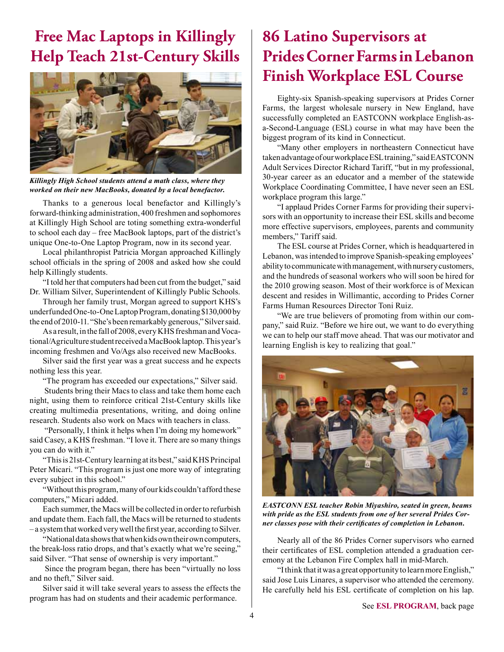### **Free Mac Laptops in Killingly Help Teach 21st-Century Skills**



*Killingly High School students attend a math class, where they worked on their new MacBooks, donated by a local benefactor.*

Thanks to a generous local benefactor and Killingly's forward-thinking administration, 400 freshmen and sophomores at Killingly High School are toting something extra-wonderful to school each day – free MacBook laptops, part of the district's unique One-to-One Laptop Program, now in its second year.

Local philanthropist Patricia Morgan approached Killingly school officials in the spring of 2008 and asked how she could help Killingly students.

"I told her that computers had been cut from the budget," said Dr. William Silver, Superintendent of Killingly Public Schools.

Through her family trust, Morgan agreed to support KHS's underfunded One-to-One Laptop Program, donating \$130,000 by the end of 2010-11. "She's been remarkably generous," Silver said.

As a result, in the fall of 2008, every KHS freshman and Vocational/Agriculture student received a MacBook laptop. This year's incoming freshmen and Vo/Ags also received new MacBooks.

Silver said the frst year was a great success and he expects nothing less this year.

"The program has exceeded our expectations," Silver said.

Students bring their Macs to class and take them home each night, using them to reinforce critical 21st-Century skills like creating multimedia presentations, writing, and doing online research. Students also work on Macs with teachers in class.

 "Personally, I think it helps when I'm doing my homework" said Casey, a KHS freshman. "I love it. There are so many things you can do with it."

"This is 21st-Century learning at its best," said KHS Principal Peter Micari. "This program is just one more way of integrating every subject in this school."

"Without this program, many of our kids couldn't afford these computers," Micari added.

Each summer, the Macs will be collected in order to refurbish and update them. Each fall, the Macs will be returned to students – a system that worked very well the frst year, according to Silver.

"National data shows that when kids own their own computers, the break-loss ratio drops, and that's exactly what we're seeing," said Silver. "That sense of ownership is very important."

 Since the program began, there has been "virtually no loss and no theft," Silver said.

Silver said it will take several years to assess the effects the program has had on students and their academic performance.

# **86 Latino Supervisors at Prides Corner Farms in Lebanon Finish Workplace ESL Course**

Eighty-six Spanish-speaking supervisors at Prides Corner Farms, the largest wholesale nursery in New England, have successfully completed an EASTCONN workplace English-asa-Second-Language (ESL) course in what may have been the biggest program of its kind in Connecticut.

"Many other employers in northeastern Connecticut have taken advantage of our workplace ESL training," said EASTCONN Adult Services Director Richard Tariff, "but in my professional, 30-year career as an educator and a member of the statewide Workplace Coordinating Committee, I have never seen an ESL workplace program this large."

"I applaud Prides Corner Farms for providing their supervisors with an opportunity to increase their ESL skills and become more effective supervisors, employees, parents and community members," Tariff said.

 The ESL course at Prides Corner, which is headquartered in Lebanon, was intended to improve Spanish-speaking employees' ability to communicate with management, with nursery customers, and the hundreds of seasonal workers who will soon be hired for the 2010 growing season. Most of their workforce is of Mexican descent and resides in Willimantic, according to Prides Corner Farms Human Resources Director Toni Ruiz.

"We are true believers of promoting from within our company," said Ruiz. "Before we hire out, we want to do everything we can to help our staff move ahead. That was our motivator and learning English is key to realizing that goal."



*EASTCONN ESL teacher Robin Miyashiro, seated in green, beams with pride as the ESL students from one of her several Prides Corner classes pose with their certifcates of completion in Lebanon.* 

Nearly all of the 86 Prides Corner supervisors who earned their certifcates of ESL completion attended a graduation ceremony at the Lebanon Fire Complex hall in mid-March.

"I think that it was a great opportunity to learn more English," said Jose Luis Linares, a supervisor who attended the ceremony. He carefully held his ESL certifcate of completion on his lap.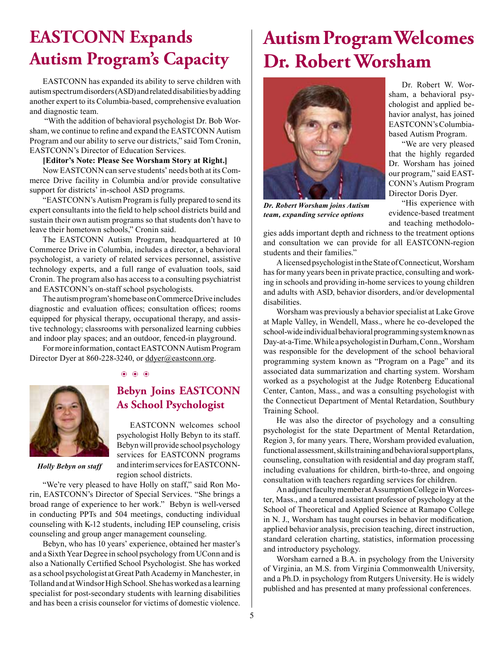# **EASTCONN Expands Autism Program's Capacity**

EASTCONN has expanded its ability to serve children with autism spectrum disorders (ASD) and related disabilities by adding another expert to its Columbia-based, comprehensive evaluation and diagnostic team.

"With the addition of behavioral psychologist Dr. Bob Worsham, we continue to refne and expand the EASTCONN Autism Program and our ability to serve our districts," said Tom Cronin, EASTCONN's Director of Education Services.

#### **[Editor's Note: Please See Worsham Story at Right.]**

Now EASTCONN can serve students' needs both at its Commerce Drive facility in Columbia and/or provide consultative support for districts' in-school ASD programs.

"EASTCONN's Autism Program is fully prepared to send its expert consultants into the feld to help school districts build and sustain their own autism programs so that students don't have to leave their hometown schools," Cronin said.

The EASTCONN Autism Program, headquartered at 10 Commerce Drive in Columbia, includes a director, a behavioral psychologist, a variety of related services personnel, assistive technology experts, and a full range of evaluation tools, said Cronin. The program also has access to a consulting psychiatrist and EASTCONN's on-staff school psychologists.

The autism program's home base on Commerce Drive includes diagnostic and evaluation offices; consultation offices; rooms equipped for physical therapy, occupational therapy, and assistive technology; classrooms with personalized learning cubbies and indoor play spaces; and an outdoor, fenced-in playground.

For more information, contact EASTCONN Autism Program Director Dyer at 860-228-3240, or ddyer@eastconn.org.

b b b



### **Bebyn Joins EASTCONN As School Psychologist**

EASTCONN welcomes school psychologist Holly Bebyn to its staff. Bebyn will provide school psychology services for EASTCONN programs and interim services for EASTCONNregion school districts.

*Holly Bebyn on staff*

"We're very pleased to have Holly on staff," said Ron Morin, EASTCONN's Director of Special Services. "She brings a broad range of experience to her work." Bebyn is well-versed in conducting PPTs and 504 meetings, conducting individual counseling with K-12 students, including IEP counseling, crisis counseling and group anger management counseling.

Bebyn, who has 10 years' experience, obtained her master's and a Sixth Year Degree in school psychology from UConn and is also a Nationally Certifed School Psychologist. She has worked as a school psychologist at Great Path Academy in Manchester, in Tolland and at Windsor High School. She has worked as a learning specialist for post-secondary students with learning disabilities and has been a crisis counselor for victims of domestic violence.

# **Autism Program Welcomes Dr. Robert Worsham**



Dr. Robert W. Worsham, a behavioral psychologist and applied behavior analyst, has joined EASTCONN's Columbiabased Autism Program.

"We are very pleased that the highly regarded Dr. Worsham has joined our program," said EAST-CONN's Autism Program Director Doris Dyer.

"His experience with evidence-based treatment and teaching methodolo-

*Dr. Robert Worsham joins Autism team, expanding service options*

gies adds important depth and richness to the treatment options and consultation we can provide for all EASTCONN-region students and their families."

A licensed psychologist in the State of Connecticut, Worsham has for many years been in private practice, consulting and working in schools and providing in-home services to young children and adults with ASD, behavior disorders, and/or developmental disabilities.

Worsham was previously a behavior specialist at Lake Grove at Maple Valley, in Wendell, Mass., where he co-developed the school-wide individual behavioral programming system known as Day-at-a-Time. While a psychologist in Durham, Conn., Worsham was responsible for the development of the school behavioral programming system known as "Program on a Page" and its associated data summarization and charting system. Worsham worked as a psychologist at the Judge Rotenberg Educational Center, Canton, Mass., and was a consulting psychologist with the Connecticut Department of Mental Retardation, Southbury Training School.

He was also the director of psychology and a consulting psychologist for the state Department of Mental Retardation, Region 3, for many years. There, Worsham provided evaluation, functional assessment, skills training and behavioral support plans, counseling, consultation with residential and day program staff, including evaluations for children, birth-to-three, and ongoing consultation with teachers regarding services for children.

An adjunct faculty member at Assumption College in Worcester, Mass., and a tenured assistant professor of psychology at the School of Theoretical and Applied Science at Ramapo College in N. J., Worsham has taught courses in behavior modifcation, applied behavior analysis, precision teaching, direct instruction, standard celeration charting, statistics, information processing and introductory psychology.

Worsham earned a B.A. in psychology from the University of Virginia, an M.S. from Virginia Commonwealth University, and a Ph.D. in psychology from Rutgers University. He is widely published and has presented at many professional conferences.